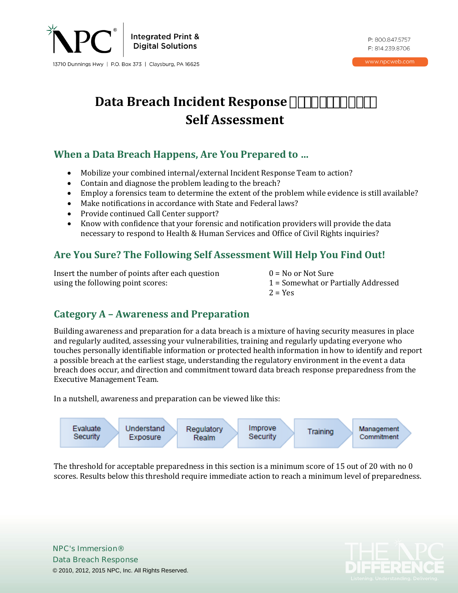

P: 800.847.5757  $F: 8142398706$ 

www.npcweb.com

# **Data Breach Incident Response**  $\mathbb{S}^{\mathbb{Q}}$  **¬š** $\mathbb{Q}$  $\mathbb{Y}$ **<sup>a</sup> i<sup>--</sup> Self Assessment**

## **When a Data Breach Happens, Are You Prepared to …**

- Mobilize your combined internal/external Incident Response Team to action?
- Contain and diagnose the problem leading to the breach?
- Employ a forensics team to determine the extent of the problem while evidence is still available?
- Make notifications in accordance with State and Federal laws?
- Provide continued Call Center support?
- Know with confidence that your forensic and notification providers will provide the data necessary to respond to Health & Human Services and Office of Civil Rights inquiries?

## **Are You Sure? The Following Self Assessment Will Help You Find Out!**

Insert the number of points after each question  $0 = No$  or Not Sure using the following point scores:  $1 = Somewhat$  or P

- 
- 1 = Somewhat or Partially Addressed<br>2 = Yes
- $2 = Yes$

## **Category A – Awareness and Preparation**

Building awareness and preparation for a data breach is a mixture of having security measures in place and regularly audited, assessing your vulnerabilities, training and regularly updating everyone who touches personally identifiable information or protected health information in how to identify and report a possible breach at the earliest stage, understanding the regulatory environment in the event a data breach does occur, and direction and commitment toward data breach response preparedness from the Executive Management Team.

In a nutshell, awareness and preparation can be viewed like this:



The threshold for acceptable preparedness in this section is a minimum score of 15 out of 20 with no 0 scores. Results below this threshold require immediate action to reach a minimum level of preparedness.

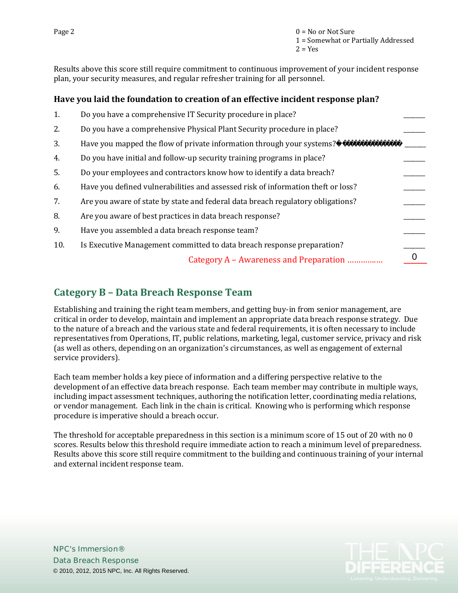Results above this score still require commitment to continuous improvement of your incident response plan, your security measures, and regular refresher training for all personnel.

#### **Have you laid the foundation to creation of an effective incident response plan?**

| 1.  | Do you have a comprehensive IT Security procedure in place?                      |  |
|-----|----------------------------------------------------------------------------------|--|
| 2.  | Do you have a comprehensive Physical Plant Security procedure in place?          |  |
| 3.  | Have you mapped the flow of private information through your systems? •          |  |
| 4.  | Do you have initial and follow-up security training programs in place?           |  |
| 5.  | Do your employees and contractors know how to identify a data breach?            |  |
| 6.  | Have you defined vulnerabilities and assessed risk of information theft or loss? |  |
| 7.  | Are you aware of state by state and federal data breach regulatory obligations?  |  |
| 8.  | Are you aware of best practices in data breach response?                         |  |
| 9.  | Have you assembled a data breach response team?                                  |  |
| 10. | Is Executive Management committed to data breach response preparation?           |  |
|     | Category A – Awareness and Preparation                                           |  |
|     |                                                                                  |  |

#### **Category B – Data Breach Response Team**

Establishing and training the right team members, and getting buy-in from senior management, are critical in order to develop, maintain and implement an appropriate data breach response strategy. Due to the nature of a breach and the various state and federal requirements, it is often necessary to include representatives from Operations, IT, public relations, marketing, legal, customer service, privacy and risk (as well as others, depending on an organization's circumstances, as well as engagement of external service providers).

Each team member holds a key piece of information and a differing perspective relative to the development of an effective data breach response. Each team member may contribute in multiple ways, including impact assessment techniques, authoring the notification letter, coordinating media relations, or vendor management. Each link in the chain is critical. Knowing who is performing which response procedure is imperative should a breach occur.

The threshold for acceptable preparedness in this section is a minimum score of 15 out of 20 with no 0 scores. Results below this threshold require immediate action to reach a minimum level of preparedness. Results above this score still require commitment to the building and continuous training of your internal and external incident response team.

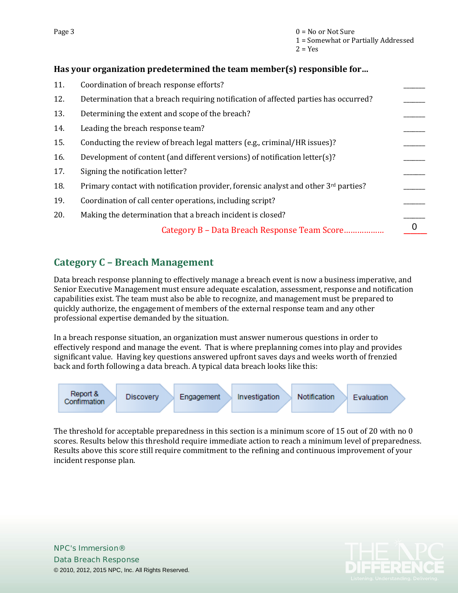#### **Has your organization predetermined the team member(s) responsible for…**

| 11. | Coordination of breach response efforts?                                                        |  |
|-----|-------------------------------------------------------------------------------------------------|--|
| 12. | Determination that a breach requiring notification of affected parties has occurred?            |  |
| 13. | Determining the extent and scope of the breach?                                                 |  |
| 14. | Leading the breach response team?                                                               |  |
| 15. | Conducting the review of breach legal matters (e.g., criminal/HR issues)?                       |  |
| 16. | Development of content (and different versions) of notification letter(s)?                      |  |
| 17. | Signing the notification letter?                                                                |  |
| 18. | Primary contact with notification provider, forensic analyst and other 3 <sup>rd</sup> parties? |  |
| 19. | Coordination of call center operations, including script?                                       |  |
| 20. | Making the determination that a breach incident is closed?                                      |  |
|     | Category B - Data Breach Response Team Score                                                    |  |
|     |                                                                                                 |  |

### **Category C – Breach Management**

Data breach response planning to effectively manage a breach event is now a business imperative, and Senior Executive Management must ensure adequate escalation, assessment, response and notification capabilities exist. The team must also be able to recognize, and management must be prepared to quickly authorize, the engagement of members of the external response team and any other professional expertise demanded by the situation.

In a breach response situation, an organization must answer numerous questions in order to effectively respond and manage the event. That is where preplanning comes into play and provides significant value. Having key questions answered upfront saves days and weeks worth of frenzied back and forth following a data breach. A typical data breach looks like this:



The threshold for acceptable preparedness in this section is a minimum score of 15 out of 20 with no 0 scores. Results below this threshold require immediate action to reach a minimum level of preparedness. Results above this score still require commitment to the refining and continuous improvement of your incident response plan.

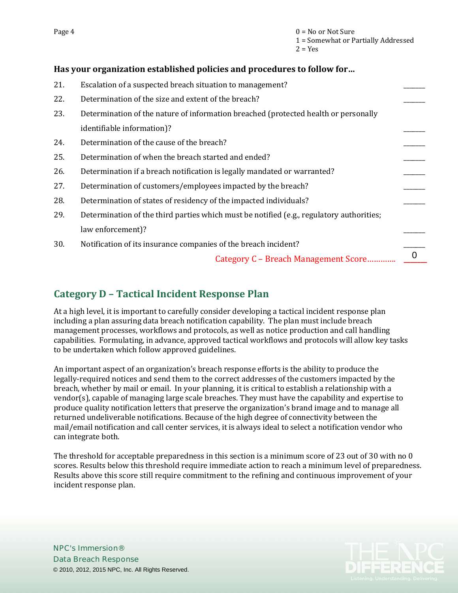#### **Has your organization established policies and procedures to follow for…**

| 21. | Escalation of a suspected breach situation to management?                                |          |
|-----|------------------------------------------------------------------------------------------|----------|
| 22. | Determination of the size and extent of the breach?                                      |          |
| 23. | Determination of the nature of information breached (protected health or personally      |          |
|     | identifiable information)?                                                               |          |
| 24. | Determination of the cause of the breach?                                                |          |
| 25. | Determination of when the breach started and ended?                                      |          |
| 26. | Determination if a breach notification is legally mandated or warranted?                 |          |
| 27. | Determination of customers/employees impacted by the breach?                             |          |
| 28. | Determination of states of residency of the impacted individuals?                        |          |
| 29. | Determination of the third parties which must be notified (e.g., regulatory authorities; |          |
|     | law enforcement)?                                                                        |          |
| 30. | Notification of its insurance companies of the breach incident?                          |          |
|     | Category C - Breach Management Score                                                     | $\Omega$ |
|     |                                                                                          |          |

### **Category D – Tactical Incident Response Plan**

At a high level, it is important to carefully consider developing a tactical incident response plan including a plan assuring data breach notification capability. The plan must include breach management processes, workflows and protocols, as well as notice production and call handling capabilities. Formulating, in advance, approved tactical workflows and protocols will allow key tasks to be undertaken which follow approved guidelines.

An important aspect of an organization's breach response efforts is the ability to produce the legally-required notices and send them to the correct addresses of the customers impacted by the breach, whether by mail or email. In your planning, it is critical to establish a relationship with a vendor(s), capable of managing large scale breaches. They must have the capability and expertise to produce quality notification letters that preserve the organization's brand image and to manage all returned undeliverable notifications. Because of the high degree of connectivity between the mail/email notification and call center services, it is always ideal to select a notification vendor who can integrate both.

The threshold for acceptable preparedness in this section is a minimum score of 23 out of 30 with no 0 scores. Results below this threshold require immediate action to reach a minimum level of preparedness. Results above this score still require commitment to the refining and continuous improvement of your incident response plan.



**NPC's Immersion® [Data Breach Response](http://www.npcweb.com/ImmersionDBR)** © 2010, 2012, 2015 NPC, Inc. All Rights Reserved.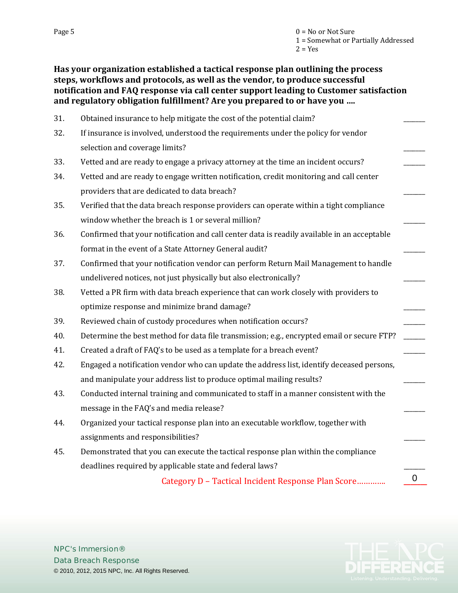#### **Has your organization established a tactical response plan outlining the process steps, workflows and protocols, as well as the vendor, to produce successful notification and FAQ response via call center support leading to Customer satisfaction and regulatory obligation fulfillment? Are you prepared to or have you ….**

| 31. | Obtained insurance to help mitigate the cost of the potential claim?                        |   |
|-----|---------------------------------------------------------------------------------------------|---|
| 32. | If insurance is involved, understood the requirements under the policy for vendor           |   |
|     | selection and coverage limits?                                                              |   |
| 33. | Vetted and are ready to engage a privacy attorney at the time an incident occurs?           |   |
| 34. | Vetted and are ready to engage written notification, credit monitoring and call center      |   |
|     | providers that are dedicated to data breach?                                                |   |
| 35. | Verified that the data breach response providers can operate within a tight compliance      |   |
|     | window whether the breach is 1 or several million?                                          |   |
| 36. | Confirmed that your notification and call center data is readily available in an acceptable |   |
|     | format in the event of a State Attorney General audit?                                      |   |
| 37. | Confirmed that your notification vendor can perform Return Mail Management to handle        |   |
|     | undelivered notices, not just physically but also electronically?                           |   |
| 38. | Vetted a PR firm with data breach experience that can work closely with providers to        |   |
|     | optimize response and minimize brand damage?                                                |   |
| 39. | Reviewed chain of custody procedures when notification occurs?                              |   |
| 40. | Determine the best method for data file transmission; e.g., encrypted email or secure FTP?  |   |
| 41. | Created a draft of FAQ's to be used as a template for a breach event?                       |   |
| 42. | Engaged a notification vendor who can update the address list, identify deceased persons,   |   |
|     | and manipulate your address list to produce optimal mailing results?                        |   |
| 43. | Conducted internal training and communicated to staff in a manner consistent with the       |   |
|     | message in the FAQ's and media release?                                                     |   |
| 44. | Organized your tactical response plan into an executable workflow, together with            |   |
|     | assignments and responsibilities?                                                           |   |
| 45. | Demonstrated that you can execute the tactical response plan within the compliance          |   |
|     | deadlines required by applicable state and federal laws?                                    |   |
|     | Category D - Tactical Incident Response Plan Score                                          | 0 |

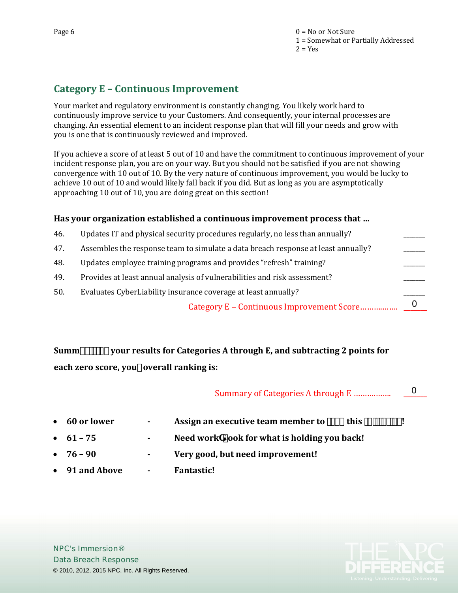## **Category E – Continuous Improvement**

Your market and regulatory environment is constantly changing. You likely work hard to continuously improve service to your Customers. And consequently, your internal processes are changing. An essential element to an incident response plan that will fill your needs and grow with you is one that is continuously reviewed and improved.

If you achieve a score of at least 5 out of 10 and have the commitment to continuous improvement of your incident response plan, you are on your way. But you should not be satisfied if you are not showing convergence with 10 out of 10. By the very nature of continuous improvement, you would be lucky to achieve 10 out of 10 and would likely fall back if you did. But as long as you are asymptotically approaching 10 out of 10, you are doing great on this section!

#### **Has your organization established a continuous improvement process that …**

46. Updates IT and physical security procedures regularly, no less than annually? \_\_\_\_\_\_\_ 47. Assembles the response team to simulate a data breach response at least annually? 48. Updates employee training programs and provides "refresh" training? 49. Provides at least annual analysis of vulnerabilities and risk assessment? 50. Evaluates CyberLiability insurance coverage at least annually? Category E – Continuous Improvement Score……….……. **\_\_\_\_\_\_\_**  $\overline{0}$ 

## **Summs**  $\mathbb{R}$  **£**your results for Categories A through E, and subtracting 2 points for **each zero score, you®overall ranking is:**

#### Summary of Categories A through E ……….……. **\_\_\_\_\_\_\_**

**60 or lower** - Assign an executive team member to  $\ddot{i}$  s Y this  $\mathbf{Y} \mathbf{Y}$   $\mathbf{Y}$   $\ddot{j}$  ! • **61 – 75 - Need work ook for what is holding you back!** • **76 – 90 - Very good, but need improvement!** • **91 and Above - Fantastic!** © 2010, 2012, 2015 NPC, Inc. All Rights Reserved. <sup>0</sup>



**NPC's Immersion® [Data Breach Response](http://www.npcweb.com/ImmersionDBR)**